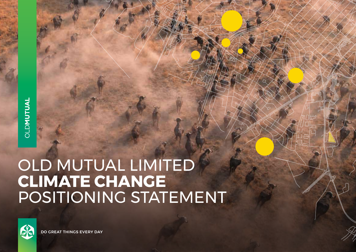# OLD MUTUAL LIMITED **CLIMATE CHANGE**  POSITIONING STATEMENT



DO GREAT THINGS EVERY DAY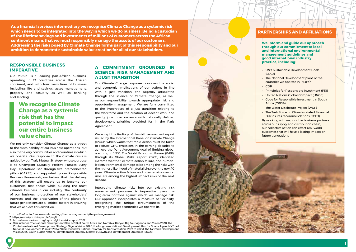**As a financial services intermediary we recognise Climate Change as a systemic risk which needs to be integrated into the way in which we do business. Being a custodian of the lifetime savings and investments of millions of customers across the African continent means that we must responsibly manage the assets of our customers. Addressing the risks posed by Climate Change forms part of this responsibility and our ambition to demonstrate sustainable value creation for all of our stakeholders.**

#### **RESPONSIBLE BUSINESS IMPERATIVE**

Old Mutual is a leading pan-African business, operating in 13 countries across the African continent, and with four main lines of business including: life and savings, asset management, property and casualty as well as banking and lending.

## **We recognise Climate Change as a systemic risk that has the potential to impact our entire business value chain.**

We not only consider Climate Change as a threat to the sustainability of our business operations, but also to the very communities and countries in which we operate. Our response to the Climate crisis is guided by our Truly Mutual Strategy, whose purpose is to Champion Mutually Positive Futures Every Day. Operationalised through five interconnected pillars (CARES) and supported by our Responsible Business Framework, we believe that the delivery of this strategy will enable us to become our customers' first choice while building the most valuable business in our industry. The continuity of our business, protection of our stakeholders' interests, and the preservation of the planet for future generations are all critical factors in ensuring that we achieve this ambition.

#### **A COMMITMENT GROUNDED IN SCIENCE, RISK MANAGEMENT AND A JUST TRANSITION**

Our Climate Change response considers the social and economic implications of our actions in line with a just transition, the urgency articulated through the science of Climate Change, as well as our responsibility towards appropriate risk and opportunity management. We are fully committed to the imperatives of a just transition relating to the workforce and the creation of decent work and quality jobs in accordance with nationally defined development priorities provided for in the Paris Agreement'.

We accept the findings of the sixth assessment report issued by the International Panel on Climate Change (IPCC) 2, which warns that rapid action must be taken to reduce GHG emissions in the coming decades to achieve the Paris Agreement goal of limiting global warming to 1.5°C. The World Economic Forum (WEF), through its Global Risks Report 2022 <sup>3</sup>, identified extreme weather, climate action failure, and humanled environmental damage to be among the risks with the highest likelihood of materialising over the next 10 years. Climate action failure and other environmental risks are among the highest impact risks of the next decade.

Integrating climate risks into our existing risk management processes is imperative given the long-term horizons against which we manage risk. Our approach incorporates a measure of flexibility, recognising the unique circumstances of the emerging market economies we operate in.

1 https://unfccc.int/process-and-meetings/the-paris-agreement/the-paris-agreement

- 2 https://www.ipcc.ch/report/ar6/wg1/
- 3 https://www.weforum.org/reports/global-risks-report-2022
- 4 This includes: The National Development Plan (NDP) of South Africa and Namibia, Kenya's Big Four Agenda and Vision 2030, the Zimbabwe National Development Strategy, Nigeria Vision 2020, the long-term National Development Plan for Ghana, Uganda's Third National Development Plan (2020 to 2025), Rwanda's National Strategy for Transformation (2017 to 2024), the Tanzania Development Vision 2025, South Sudan National Development Strategy, Malawi's Growth and Development Strategies (MGDS)



**We inform and guide our approach through our commitment to local and international environmental management guidelines and good international industry practice, including:** 

- UN's Sustainable Development Goals (SDGs)
- The National Development plans of the countries we operate in (NDPs) 4
- CDP
- Principles for Responsible Investment (PRI)
- United Nations Global Compact (UNGC)
- Code for Responsible Investment in South Africa (CRISA)
- The Water Disclosure Project (WDP)
- The Task Force on Climate-related Financial Disclosures recommendations (TCFD)

By working with responsible business partners across our supply and distribution chain, our collective action can effect real-world outcomes that will have a lasting impact on future generations.

1